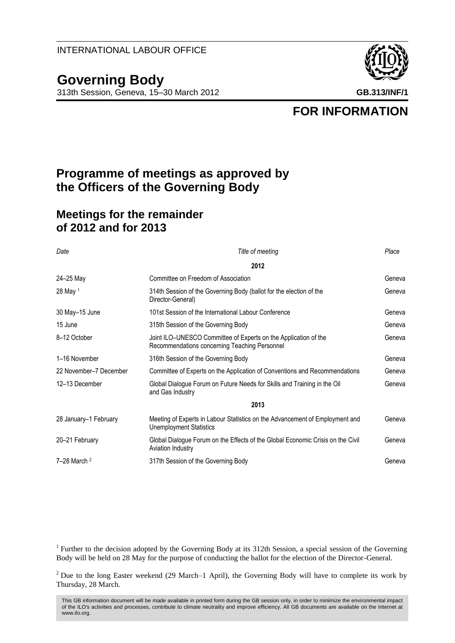## **Governing Body**

313th Session, Geneva, 15–30 March 2012 **GB.313/INF/1**



**FOR INFORMATION**

## **Programme of meetings as approved by the Officers of the Governing Body**

## **Meetings for the remainder of 2012 and for 2013**

| Date                   | Title of meeting                                                                                                 | Place  |
|------------------------|------------------------------------------------------------------------------------------------------------------|--------|
|                        | 2012                                                                                                             |        |
| 24-25 May              | Committee on Freedom of Association                                                                              | Geneva |
| 28 May 1               | 314th Session of the Governing Body (ballot for the election of the<br>Director-General)                         | Geneva |
| 30 May-15 June         | 101st Session of the International Labour Conference                                                             | Geneva |
| 15 June                | 315th Session of the Governing Body                                                                              | Geneva |
| 8-12 October           | Joint ILO-UNESCO Committee of Experts on the Application of the<br>Recommendations concerning Teaching Personnel | Geneva |
| 1-16 November          | 316th Session of the Governing Body                                                                              | Geneva |
| 22 November-7 December | Committee of Experts on the Application of Conventions and Recommendations                                       | Geneva |
| 12-13 December         | Global Dialogue Forum on Future Needs for Skills and Training in the Oil<br>and Gas Industry                     | Geneva |
|                        | 2013                                                                                                             |        |
| 28 January-1 February  | Meeting of Experts in Labour Statistics on the Advancement of Employment and<br><b>Unemployment Statistics</b>   | Geneva |
| 20-21 February         | Global Dialogue Forum on the Effects of the Global Economic Crisis on the Civil<br><b>Aviation Industry</b>      | Geneva |
| $7-28$ March $2$       | 317th Session of the Governing Body                                                                              | Geneva |

<sup>1</sup> Further to the decision adopted by the Governing Body at its 312th Session, a special session of the Governing Body will be held on 28 May for the purpose of conducting the ballot for the election of the Director-General.

<sup>2</sup> Due to the long Easter weekend (29 March–1 April), the Governing Body will have to complete its work by Thursday, 28 March.

This GB information document will be made available in printed form during the GB session only, in order to minimize the environmental impact of the ILO's activities and processes, contribute to climate neutrality and improve efficiency. All GB documents are available on the Internet at www.ilo.org.